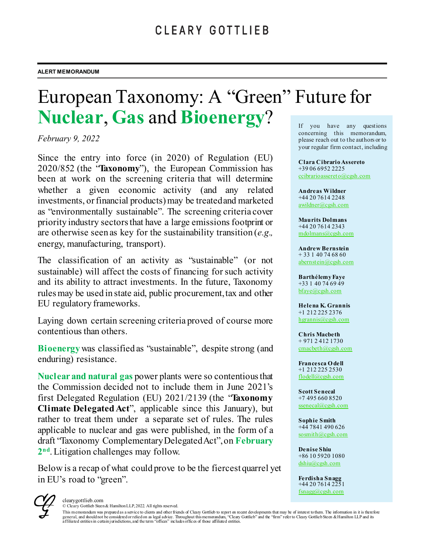# European Taxonomy: A "Green" Future for **Nuclear**, **Gas** and **Bioenergy**? If you have any questions

*February 9, 2022*

Since the entry into force (in 2020) of Regulation (EU) 2020/852 (the "**Taxonomy**"), the European Commission has been at work on the screening criteria that will determine whether a given economic activity (and any related investments, orfinancial products) may be treated and marketed as "environmentally sustainable". The screening criteria cover priority industry sectors that have a large emissions footprint or are otherwise seen as key for the sustainability transition (*e.g.,* energy, manufacturing, transport).

The classification of an activity as "sustainable" (or not sustainable) will affect the costs of financing for such activity and its ability to attract investments. In the future, Taxonomy rules may be used in state aid, public procurement, tax and other EU regulatory frameworks.

Laying down certain screening criteria proved of course more contentious than others.

**Bioenergy** was classified as "sustainable", despite strong (and enduring) resistance.

**Nuclear and natural gas** power plants were so contentious that the Commission decided not to include them in June 2021's first Delegated Regulation (EU) 2021/2139 (the "**Taxonomy Climate Delegated Act**", applicable since this January), but rather to treat them under a separate set of rules. The rules applicable to nuclear and gas were published, in the form of a draft "Taxonomy Complementary Delegated Act", on **February 2nd**. Litigation challenges may follow.

Below is a recap of what could prove to be the fiercest quarrel yet in EU's road to "green".

concerning this memorandum, please reach out to the authors or to your regular firm contact, including

**Clara Cibrario Assereto** +39 06 6952 2225 [ccibrarioassereto@cgsh.com](mailto:ccibrarioassereto@cgsh.com)

**Andreas Wildner** +44 20 7614 2248 [awildner@cgsh.com](mailto:awildner@cgsh.com)

**Maurits Dolmans** +44 20 7614 2343 [mdolmans@cgsh.com](mailto:mdolmans@cgsh.com)

**Andrew Bernstein** + 33 1 40 74 68 60 [abernstein@cgsh.com](mailto:abernstein@cgsh.com)

**Barthélemy Faye** +33 1 40 74 69 49 [bfaye@cgsh.com](mailto:bfaye@cgsh.com)

**Helena K. Grannis** +1 212 225 2376 [hgrannis@cgsh.com](mailto:hgrannis@cgsh.com)

**Chris Macbeth** + 971 2 412 1730 [cmacbeth@cgsh.com](mailto:cmacbeth@cgsh.com)

**Francesca O dell** +1 212 225 2530 [flodell@cgsh.com](mailto:flodell@cgsh.com)

**Scott Senecal** +7 495 660 8520 [ssenecal@cgsh.com](mailto:ssenecal@cgsh.com) 

**Sophie Smith** +44 7841 490 626 [sosmith@cgsh.com](mailto:sosmith@cgsh.com)

**Denise Shiu** +86 10 5920 1080 [dshiu@cgsh.com](mailto:dshiu@cgsh.com) 

**Ferdisha Snagg** +44 20 7614 2251 [fsnagg@cgsh.com](mailto:fsnagg@cgsh.com)



© Cleary Gottlieb Steen & Hamilton LLP, 2022. All rights reserved.

This memorandum was prepared as a service to clients and other friends of Cleary Gottlieb to report on recent developments that may be of interest to them. The information in it is therefore general, and should not be considered or relied on as legal advice. Throughout this memorandum, "Cleary Gottlieb" and the "firm" refer to Cleary Gottlieb Steen & Hamilton LLP and its<br>affiliated entities in certain jurisdic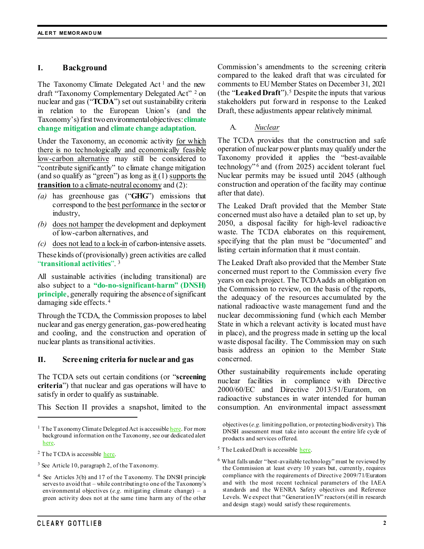### **I. Background**

The Taxonomy Climate Delegated Act<sup>[1](#page-1-0)</sup> and the new draft "Taxonomy Complementary Delegated Act" [2](#page-1-1) on nuclear and gas ("**TCDA**") set out sustainability criteria in relation to the European Union's (and the Taxonomy's) first two environmental objectives: **climate change mitigation** and **climate change adaptation**.

Under the Taxonomy, an economic activity for which there is no technologically and economically feasible low-carbon alternative may still be considered to "contribute significantly" to climate change mitigation (and so qualify as "green") as long as it (1) supports the **transition** to a climate-neutral economy and (2):

- *(a)* has greenhouse gas ("**GHG**") emissions that correspond to the best performance in the sector or industry,
- *(b)* does not hamper the development and deployment of low-carbon alternatives, and
- *(c)* does not lead to a lock-in of carbon-intensive assets.

These kinds of (provisionally) green activities are called "**transitional activities**". [3](#page-1-2)

All sustainable activities (including transitional) are also subject to a **"do-no-significant-harm" (DNSH) principle**, generally requiring the absence of significant damaging side effects. [4](#page-1-3)

Through the TCDA, the Commission proposes to label nuclear and gas energy generation, gas-powered heating and cooling, and the construction and operation of nuclear plants as transitional activities.

### **II. Screening criteria for nuclear and gas**

The TCDA sets out certain conditions (or "**screening criteria**") that nuclear and gas operations will have to satisfy in order to qualify as sustainable.

This Section II provides a snapshot, limited to the

 $\overline{a}$ 

Commission's amendments to the screening criteria compared to the leaked draft that was circulated for comments to EU Member States on December 31, 2021 (the "**Leaked Draft**").[5](#page-1-4) Despite the inputs that various stakeholders put forward in response to the Leaked Draft, these adjustments appear relatively minimal.

A. *Nuclear*

The TCDA provides that the construction and safe operation of nuclear power plants may qualify under the Taxonomy provided it applies the "best-available technology"<sup>[6](#page-1-5)</sup> and (from 2025) accident tolerant fuel. Nuclear permits may be issued until 2045 (although construction and operation of the facility may continue after that date).

The Leaked Draft provided that the Member State concerned must also have a detailed plan to set up, by 2050, a disposal facility for high-level radioactive waste. The TCDA elaborates on this requirement, specifying that the plan must be "documented" and listing certain information that it must contain.

The Leaked Draft also provided that the Member State concerned must report to the Commission every five years on each project. The TCDA adds an obligation on the Commission to review, on the basis of the reports, the adequacy of the resources accumulated by the national radioactive waste management fund and the nuclear decommissioning fund (which each Member State in which a relevant activity is located must have in place), and the progress made in setting up the local waste disposal facility. The Commission may on such basis address an opinion to the Member State concerned.

Other sustainability requirements include operating nuclear facilities in compliance with Directive 2000/60/EC and Directive 2013/51/Euratom, on radioactive substances in water intended for human consumption. An environmental impact assessment

<span id="page-1-0"></span><sup>&</sup>lt;sup>1</sup> The Taxonomy Climate Delegated Act is accessibl[e here.](https://eur-lex.europa.eu/legal-content/EN/TXT/?uri=PI_COM:C(2021)2800) For more background information on the Taxonomy, see our dedicated alert [here.](https://www.clearygottlieb.com/news-and-insights/publication-listing/a-framework-taxonomy-for-sustainable-finance)

<span id="page-1-4"></span><span id="page-1-1"></span> $2$  The TCDA is accessible [here.](https://ec.europa.eu/info/publications/220202-sustainable-finance-taxonomy-complementary-climate-delegated-act_en)

<span id="page-1-5"></span><span id="page-1-2"></span><sup>3</sup> See Article 10, paragraph 2, of the Taxonomy.

<span id="page-1-3"></span><sup>4</sup> See Articles 3(b) and 17 of the Taxonomy. The DNSH principle serves to avoid that – while contributing to one of the Taxonomy's environmental objectives (*e.g.* mitigating climate change) – a green activity does not at the same time harm any of the other

objectives(*e.g.* limiting pollution, or protecting biodiversity). This DNSH assessment must take into account the entire life cycle of products and services offered.

<sup>&</sup>lt;sup>5</sup> The Leaked Draft is accessible [here.](https://www.euractiv.com/wp-content/uploads/sites/2/2022/01/draft-CDA-31-12-2021.pdf)

<sup>6</sup> What falls under "best-available technology" must be reviewed by the Commission at least every 10 years but, currently, requires compliance with the requirements of Directive 2009/71/Euratom and with the most recent technical parameters of the IAEA standards and the WENRA Safety objectives and Reference Levels. We expect that "Generation IV" reactors (still in research and design stage) would satisfy these requirements.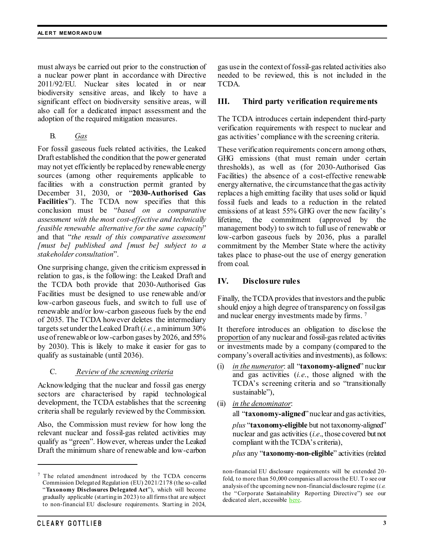must always be carried out prior to the construction of a nuclear power plant in accordance with Directive 2011/92/EU. Nuclear sites located in or near biodiversity sensitive areas, and likely to have a significant effect on biodiversity sensitive areas, will also call for a dedicated impact assessment and the adoption of the required mitigation measures.

B. *Gas*

For fossil gaseous fuels related activities, the Leaked Draft established the condition that the power generated may not yet efficiently be replaced by renewable energy sources (among other requirements applicable to facilities with a construction permit granted by December 31, 2030, or "**2030-Authorised Gas Facilities**"). The TCDA now specifies that this conclusion must be "*based on a comparative assessment with the most cost-effective and technically feasible renewable alternative for the same capacity*" and that "*the result of this comparative assessment [must be] published and [must be] subject to a stakeholder consultation*".

One surprising change, given the criticism expressed in relation to gas, is the following: the Leaked Draft and the TCDA both provide that 2030-Authorised Gas Facilities must be designed to use renewable and/or low-carbon gaseous fuels, and switch to full use of renewable and/or low-carbon gaseous fuels by the end of 2035. The TCDA however deletes the intermediary targets set under the Leaked Draft(*i.e.*, a minimum 30% use of renewable or low-carbon gases by 2026, and 55% by 2030). This is likely to make it easier for gas to qualify as sustainable (until 2036).

### C. *Review of the screening criteria*

Acknowledging that the nuclear and fossil gas energy sectors are characterised by rapid technological development, the TCDA establishes that the screening criteria shall be regularly reviewed by the Commission.

Also, the Commission must review for how long the relevant nuclear and fossil-gas related activities may qualify as "green". However, whereas under the Leaked Draft the minimum share of renewable and low-carbon gas use in the context of fossil-gas related activities also needed to be reviewed, this is not included in the TCDA.

### **III. Third party verification requirements**

The TCDA introduces certain independent third-party verification requirements with respect to nuclear and gas activities' compliance with the screening criteria.

These verification requirements concern among others, GHG emissions (that must remain under certain thresholds), as well as (for 2030-Authorised Gas Facilities) the absence of a cost-effective renewable energy alternative, the circumstance that the gas activity replaces a high emitting facility that uses solid or liquid fossil fuels and leads to a reduction in the related emissions of at least 55% GHG over the new facility's lifetime, the commitment (approved by the management body) to switch to full use of renewable or low-carbon gaseous fuels by 2036, plus a parallel commitment by the Member State where the activity takes place to phase-out the use of energy generation from coal.

## **IV. Disclosure rules**

Finally, the TCDA provides that investors and the public should enjoy a high degree of transparency on fossil gas and nuclear energy investments made by firms. [7](#page-2-0)

It therefore introduces an obligation to disclose the proportion of any nuclear and fossil-gas related activities or investments made by a company (compared to the company's overall activities and investments), as follows:

- (i) *in the numerator*: all "**taxonomy-aligned**" nuclear and gas activities (*i.e*., those aligned with the TCDA's screening criteria and so "transitionally sustainable"),
- (ii) *in the denominator*:

all "**taxonomy-aligned**" nuclear and gas activities, *plus* "**taxonomy-eligible** but not taxonomy-aligned" nuclear and gas activities (*i.e*., those covered but not compliant with the TCDA's criteria),

*plus* any "**taxonomy-non-eligible**" activities (related

 $\overline{a}$ 

<span id="page-2-0"></span> $7$  The related amendment introduced by the TCDA concerns Commission Delegated Regulation (EU) 2021/2178 (the so-called "**Taxonomy Disclosures Delegated Act**"), which will become gradually applicable (starting in 2023) to all firms that are subject to non-financial EU disclosure requirements. Starting in 2024,

non-financial EU disclosure requirements will be extended 20 fold, to more than 50,000 companies all across the EU. To see our analysis of the upcoming new non-financial disclosure regime (*i.e.*  the "Corporate Sustainability Reporting Directive") see our dedicated alert, accessible [here.](https://www.clearygottlieb.com/-/media/files/alert-memos-2021/the-corporate-sustainability-reporting-directive.pdf)